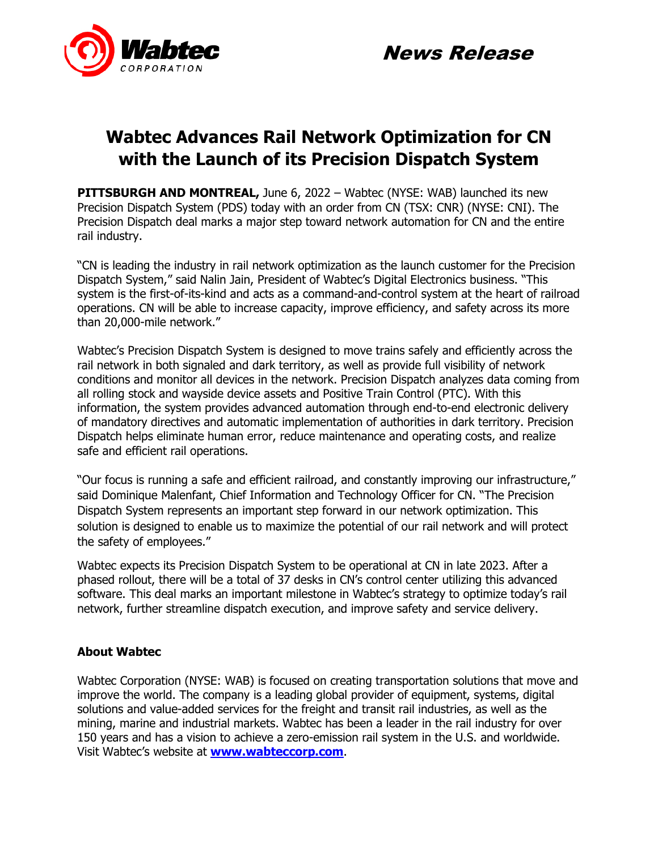



# **Wabtec Advances Rail Network Optimization for CN with the Launch of its Precision Dispatch System**

**PITTSBURGH AND MONTREAL,** June 6, 2022 – Wabtec (NYSE: WAB) launched its new Precision Dispatch System (PDS) today with an order from CN (TSX: CNR) (NYSE: CNI). The Precision Dispatch deal marks a major step toward network automation for CN and the entire rail industry.

"CN is leading the industry in rail network optimization as the launch customer for the Precision Dispatch System," said Nalin Jain, President of Wabtec's Digital Electronics business. "This system is the first-of-its-kind and acts as a command-and-control system at the heart of railroad operations. CN will be able to increase capacity, improve efficiency, and safety across its more than 20,000-mile network."

Wabtec's Precision Dispatch System is designed to move trains safely and efficiently across the rail network in both signaled and dark territory, as well as provide full visibility of network conditions and monitor all devices in the network. Precision Dispatch analyzes data coming from all rolling stock and wayside device assets and Positive Train Control (PTC). With this information, the system provides advanced automation through end-to-end electronic delivery of mandatory directives and automatic implementation of authorities in dark territory. Precision Dispatch helps eliminate human error, reduce maintenance and operating costs, and realize safe and efficient rail operations.

"Our focus is running a safe and efficient railroad, and constantly improving our infrastructure," said Dominique Malenfant, Chief Information and Technology Officer for CN. "The Precision Dispatch System represents an important step forward in our network optimization. This solution is designed to enable us to maximize the potential of our rail network and will protect the safety of employees."

Wabtec expects its Precision Dispatch System to be operational at CN in late 2023. After a phased rollout, there will be a total of 37 desks in CN's control center utilizing this advanced software. This deal marks an important milestone in Wabtec's strategy to optimize today's rail network, further streamline dispatch execution, and improve safety and service delivery.

# **About Wabtec**

Wabtec Corporation (NYSE: WAB) is focused on creating transportation solutions that move and improve the world. The company is a leading global provider of equipment, systems, digital solutions and value-added services for the freight and transit rail industries, as well as the mining, marine and industrial markets. Wabtec has been a leader in the rail industry for over 150 years and has a vision to achieve a zero-emission rail system in the U.S. and worldwide. Visit Wabtec's website at **[www.wabteccorp.com](https://www.wabteccorp.com/)**.